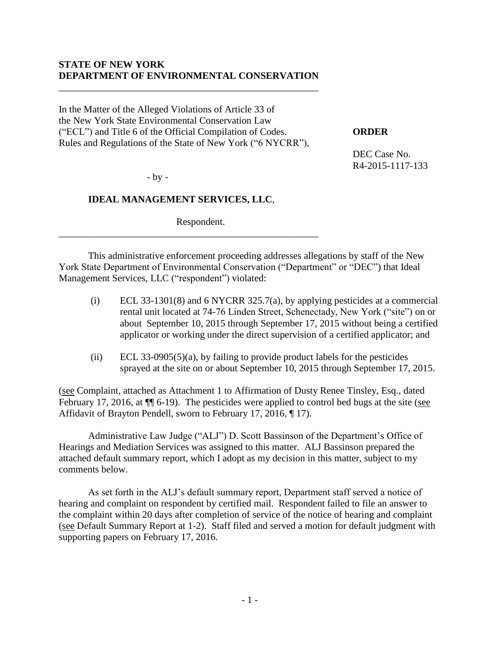# **STATE OF NEW YORK DEPARTMENT OF ENVIRONMENTAL CONSERVATION**

\_\_\_\_\_\_\_\_\_\_\_\_\_\_\_\_\_\_\_\_\_\_\_\_\_\_\_\_\_\_\_\_\_\_\_\_\_\_\_\_\_\_\_\_\_\_\_\_\_\_\_\_\_

In the Matter of the Alleged Violations of Article 33 of the New York State Environmental Conservation Law ("ECL") and Title 6 of the Official Compilation of Codes. **ORDER** Rules and Regulations of the State of New York ("6 NYCRR"),

DEC Case No. R4-2015-1117-133

- by -

# **IDEAL MANAGEMENT SERVICES, LLC**,

\_\_\_\_\_\_\_\_\_\_\_\_\_\_\_\_\_\_\_\_\_\_\_\_\_\_\_\_\_\_\_\_\_\_\_\_\_\_\_\_\_\_\_\_\_\_\_\_\_\_\_\_\_

Respondent.

This administrative enforcement proceeding addresses allegations by staff of the New York State Department of Environmental Conservation ("Department" or "DEC") that Ideal Management Services, LLC ("respondent") violated:

- (i) ECL 33-1301(8) and 6 NYCRR 325.7(a), by applying pesticides at a commercial rental unit located at 74-76 Linden Street, Schenectady, New York ("site") on or about September 10, 2015 through September 17, 2015 without being a certified applicator or working under the direct supervision of a certified applicator; and
- (ii) ECL 33-0905(5)(a), by failing to provide product labels for the pesticides sprayed at the site on or about September 10, 2015 through September 17, 2015.

(see Complaint, attached as Attachment 1 to Affirmation of Dusty Renee Tinsley, Esq., dated February 17, 2016, at  $\P$  6-19). The pesticides were applied to control bed bugs at the site (see Affidavit of Brayton Pendell, sworn to February 17, 2016, ¶ 17).

Administrative Law Judge ("ALJ") D. Scott Bassinson of the Department's Office of Hearings and Mediation Services was assigned to this matter. ALJ Bassinson prepared the attached default summary report, which I adopt as my decision in this matter, subject to my comments below.

As set forth in the ALJ's default summary report, Department staff served a notice of hearing and complaint on respondent by certified mail. Respondent failed to file an answer to the complaint within 20 days after completion of service of the notice of hearing and complaint (see Default Summary Report at 1-2). Staff filed and served a motion for default judgment with supporting papers on February 17, 2016.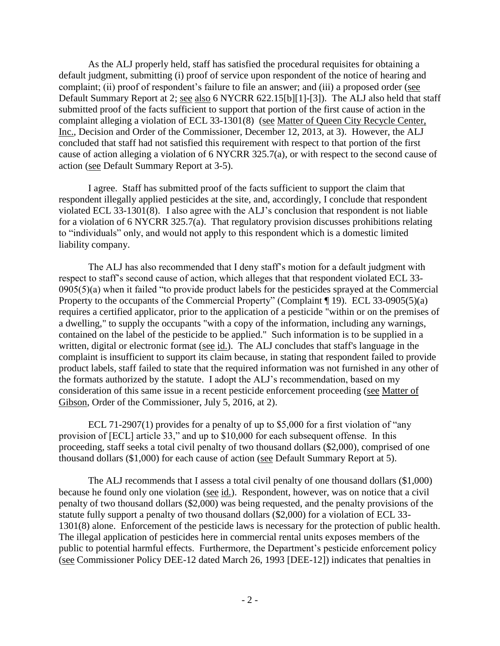As the ALJ properly held, staff has satisfied the procedural requisites for obtaining a default judgment, submitting (i) proof of service upon respondent of the notice of hearing and complaint; (ii) proof of respondent's failure to file an answer; and (iii) a proposed order (see Default Summary Report at 2; see also 6 NYCRR 622.15[b][1]-[3]). The ALJ also held that staff submitted proof of the facts sufficient to support that portion of the first cause of action in the complaint alleging a violation of ECL 33-1301(8) (see Matter of Queen City Recycle Center, Inc., Decision and Order of the Commissioner, December 12, 2013, at 3). However, the ALJ concluded that staff had not satisfied this requirement with respect to that portion of the first cause of action alleging a violation of 6 NYCRR 325.7(a), or with respect to the second cause of action (see Default Summary Report at 3-5).

I agree. Staff has submitted proof of the facts sufficient to support the claim that respondent illegally applied pesticides at the site, and, accordingly, I conclude that respondent violated ECL 33-1301(8). I also agree with the ALJ's conclusion that respondent is not liable for a violation of 6 NYCRR 325.7(a). That regulatory provision discusses prohibitions relating to "individuals" only, and would not apply to this respondent which is a domestic limited liability company.

The ALJ has also recommended that I deny staff's motion for a default judgment with respect to staff's second cause of action, which alleges that that respondent violated ECL 33- 0905(5)(a) when it failed "to provide product labels for the pesticides sprayed at the Commercial Property to the occupants of the Commercial Property" (Complaint ¶ 19). ECL 33-0905(5)(a) requires a certified applicator, prior to the application of a pesticide "within or on the premises of a dwelling," to supply the occupants "with a copy of the information, including any warnings, contained on the label of the pesticide to be applied." Such information is to be supplied in a written, digital or electronic format (see id.). The ALJ concludes that staff's language in the complaint is insufficient to support its claim because, in stating that respondent failed to provide product labels, staff failed to state that the required information was not furnished in any other of the formats authorized by the statute. I adopt the ALJ's recommendation, based on my consideration of this same issue in a recent pesticide enforcement proceeding (see Matter of Gibson, Order of the Commissioner, July 5, 2016, at 2).

ECL 71-2907(1) provides for a penalty of up to \$5,000 for a first violation of "any provision of [ECL] article 33," and up to \$10,000 for each subsequent offense. In this proceeding, staff seeks a total civil penalty of two thousand dollars (\$2,000), comprised of one thousand dollars (\$1,000) for each cause of action (see Default Summary Report at 5).

The ALJ recommends that I assess a total civil penalty of one thousand dollars (\$1,000) because he found only one violation (see id.). Respondent, however, was on notice that a civil penalty of two thousand dollars (\$2,000) was being requested, and the penalty provisions of the statute fully support a penalty of two thousand dollars (\$2,000) for a violation of ECL 33- 1301(8) alone. Enforcement of the pesticide laws is necessary for the protection of public health. The illegal application of pesticides here in commercial rental units exposes members of the public to potential harmful effects. Furthermore, the Department's pesticide enforcement policy (see Commissioner Policy DEE-12 dated March 26, 1993 [DEE-12]) indicates that penalties in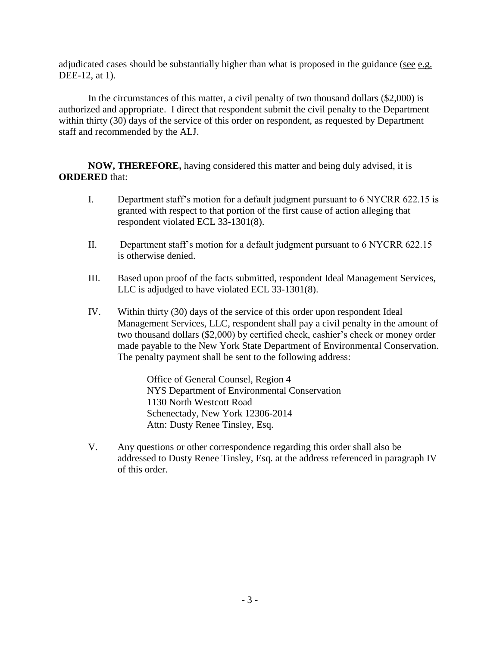adjudicated cases should be substantially higher than what is proposed in the guidance (see e.g. DEE-12, at 1).

In the circumstances of this matter, a civil penalty of two thousand dollars (\$2,000) is authorized and appropriate. I direct that respondent submit the civil penalty to the Department within thirty (30) days of the service of this order on respondent, as requested by Department staff and recommended by the ALJ.

**NOW, THEREFORE,** having considered this matter and being duly advised, it is **ORDERED** that:

- I. Department staff's motion for a default judgment pursuant to 6 NYCRR 622.15 is granted with respect to that portion of the first cause of action alleging that respondent violated ECL 33-1301(8).
- II. Department staff's motion for a default judgment pursuant to 6 NYCRR 622.15 is otherwise denied.
- III. Based upon proof of the facts submitted, respondent Ideal Management Services, LLC is adjudged to have violated ECL 33-1301(8).
- IV. Within thirty (30) days of the service of this order upon respondent Ideal Management Services, LLC, respondent shall pay a civil penalty in the amount of two thousand dollars (\$2,000) by certified check, cashier's check or money order made payable to the New York State Department of Environmental Conservation. The penalty payment shall be sent to the following address:

Office of General Counsel, Region 4 NYS Department of Environmental Conservation 1130 North Westcott Road Schenectady, New York 12306-2014 Attn: Dusty Renee Tinsley, Esq.

V. Any questions or other correspondence regarding this order shall also be addressed to Dusty Renee Tinsley, Esq. at the address referenced in paragraph IV of this order.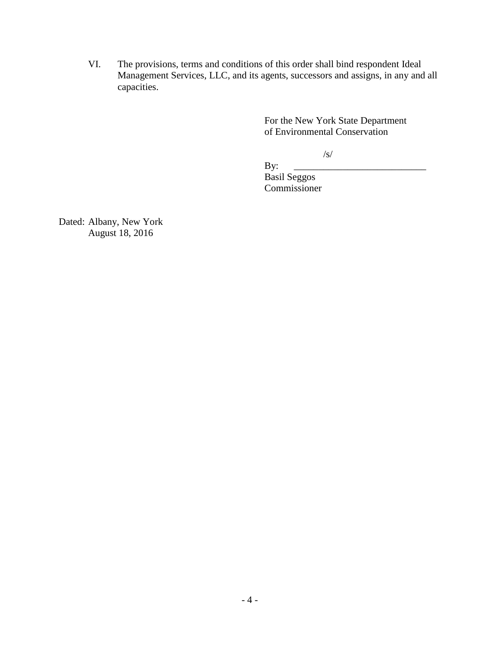VI. The provisions, terms and conditions of this order shall bind respondent Ideal Management Services, LLC, and its agents, successors and assigns, in any and all capacities.

> For the New York State Department of Environmental Conservation

> > /s/

 By: \_\_\_\_\_\_\_\_\_\_\_\_\_\_\_\_\_\_\_\_\_\_\_\_\_\_\_ Basil Seggos Commissioner

Dated: Albany, New York August 18, 2016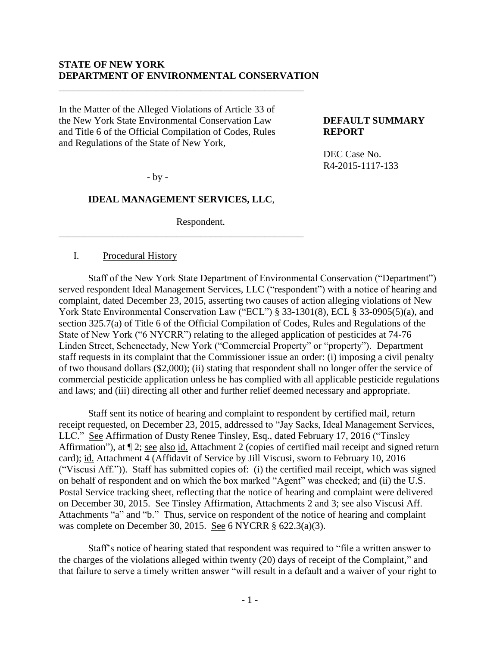## **STATE OF NEW YORK DEPARTMENT OF ENVIRONMENTAL CONSERVATION**

\_\_\_\_\_\_\_\_\_\_\_\_\_\_\_\_\_\_\_\_\_\_\_\_\_\_\_\_\_\_\_\_\_\_\_\_\_\_\_\_\_\_\_\_\_\_\_\_\_\_

In the Matter of the Alleged Violations of Article 33 of the New York State Environmental Conservation Law **DEFAULT SUMMARY** and Title 6 of the Official Compilation of Codes, Rules **REPORT** and Regulations of the State of New York,

DEC Case No. R4-2015-1117-133

- by -

## **IDEAL MANAGEMENT SERVICES, LLC**,

\_\_\_\_\_\_\_\_\_\_\_\_\_\_\_\_\_\_\_\_\_\_\_\_\_\_\_\_\_\_\_\_\_\_\_\_\_\_\_\_\_\_\_\_\_\_\_\_\_\_

Respondent.

## I. Procedural History

Staff of the New York State Department of Environmental Conservation ("Department") served respondent Ideal Management Services, LLC ("respondent") with a notice of hearing and complaint, dated December 23, 2015, asserting two causes of action alleging violations of New York State Environmental Conservation Law ("ECL") § 33-1301(8), ECL § 33-0905(5)(a), and section 325.7(a) of Title 6 of the Official Compilation of Codes, Rules and Regulations of the State of New York ("6 NYCRR") relating to the alleged application of pesticides at 74-76 Linden Street, Schenectady, New York ("Commercial Property" or "property"). Department staff requests in its complaint that the Commissioner issue an order: (i) imposing a civil penalty of two thousand dollars (\$2,000); (ii) stating that respondent shall no longer offer the service of commercial pesticide application unless he has complied with all applicable pesticide regulations and laws; and (iii) directing all other and further relief deemed necessary and appropriate.

Staff sent its notice of hearing and complaint to respondent by certified mail, return receipt requested, on December 23, 2015, addressed to "Jay Sacks, Ideal Management Services, LLC." See Affirmation of Dusty Renee Tinsley, Esq., dated February 17, 2016 ("Tinsley Affirmation"), at  $\P$  2; see also id. Attachment 2 (copies of certified mail receipt and signed return card); id. Attachment 4 (Affidavit of Service by Jill Viscusi, sworn to February 10, 2016 ("Viscusi Aff.")). Staff has submitted copies of: (i) the certified mail receipt, which was signed on behalf of respondent and on which the box marked "Agent" was checked; and (ii) the U.S. Postal Service tracking sheet, reflecting that the notice of hearing and complaint were delivered on December 30, 2015. See Tinsley Affirmation, Attachments 2 and 3; see also Viscusi Aff. Attachments "a" and "b." Thus, service on respondent of the notice of hearing and complaint was complete on December 30, 2015. See 6 NYCRR § 622.3(a)(3).

Staff's notice of hearing stated that respondent was required to "file a written answer to the charges of the violations alleged within twenty (20) days of receipt of the Complaint," and that failure to serve a timely written answer "will result in a default and a waiver of your right to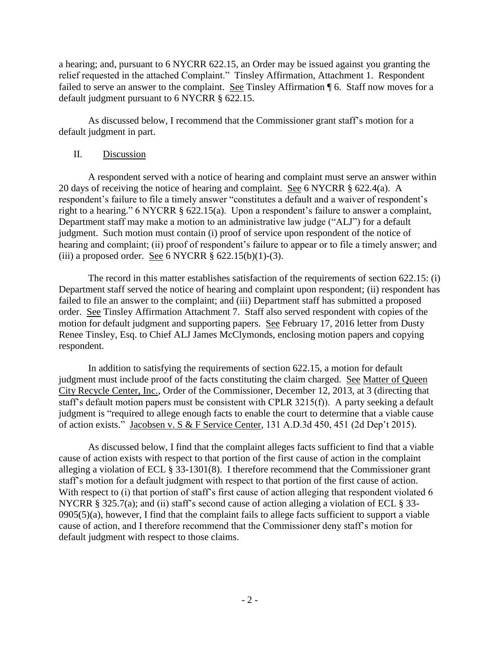a hearing; and, pursuant to 6 NYCRR 622.15, an Order may be issued against you granting the relief requested in the attached Complaint." Tinsley Affirmation, Attachment 1. Respondent failed to serve an answer to the complaint. <u>See</u> Tinsley Affirmation ¶ 6. Staff now moves for a default judgment pursuant to 6 NYCRR § 622.15.

As discussed below, I recommend that the Commissioner grant staff's motion for a default judgment in part.

# II. Discussion

A respondent served with a notice of hearing and complaint must serve an answer within 20 days of receiving the notice of hearing and complaint. See 6 NYCRR § 622.4(a). A respondent's failure to file a timely answer "constitutes a default and a waiver of respondent's right to a hearing." 6 NYCRR § 622.15(a). Upon a respondent's failure to answer a complaint, Department staff may make a motion to an administrative law judge ("ALJ") for a default judgment. Such motion must contain (i) proof of service upon respondent of the notice of hearing and complaint; (ii) proof of respondent's failure to appear or to file a timely answer; and (iii) a proposed order. See 6 NYCRR  $\S$  622.15(b)(1)-(3).

The record in this matter establishes satisfaction of the requirements of section 622.15: (i) Department staff served the notice of hearing and complaint upon respondent; (ii) respondent has failed to file an answer to the complaint; and (iii) Department staff has submitted a proposed order. See Tinsley Affirmation Attachment 7. Staff also served respondent with copies of the motion for default judgment and supporting papers. See February 17, 2016 letter from Dusty Renee Tinsley, Esq. to Chief ALJ James McClymonds, enclosing motion papers and copying respondent.

In addition to satisfying the requirements of section 622.15, a motion for default judgment must include proof of the facts constituting the claim charged. See Matter of Queen City Recycle Center, Inc., Order of the Commissioner, December 12, 2013, at 3 (directing that staff's default motion papers must be consistent with CPLR 3215(f)). A party seeking a default judgment is "required to allege enough facts to enable the court to determine that a viable cause of action exists." Jacobsen v. S & F Service Center, 131 A.D.3d 450, 451 (2d Dep't 2015).

As discussed below, I find that the complaint alleges facts sufficient to find that a viable cause of action exists with respect to that portion of the first cause of action in the complaint alleging a violation of ECL § 33-1301(8). I therefore recommend that the Commissioner grant staff's motion for a default judgment with respect to that portion of the first cause of action. With respect to (i) that portion of staff's first cause of action alleging that respondent violated 6 NYCRR § 325.7(a); and (ii) staff's second cause of action alleging a violation of ECL § 33- $0905(5)$ (a), however, I find that the complaint fails to allege facts sufficient to support a viable cause of action, and I therefore recommend that the Commissioner deny staff's motion for default judgment with respect to those claims.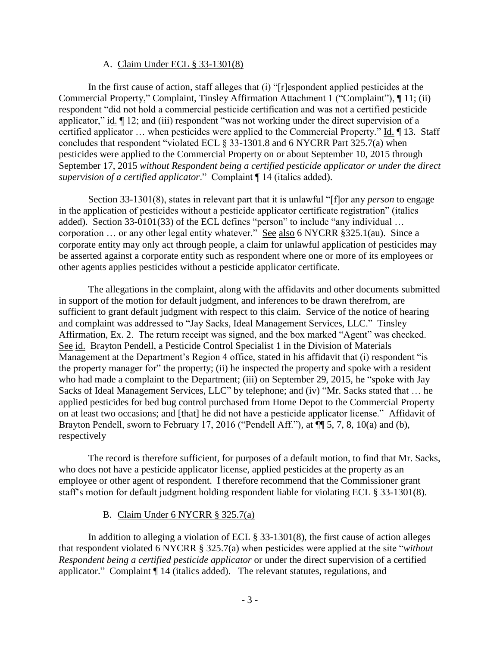### A. Claim Under ECL § 33-1301(8)

In the first cause of action, staff alleges that (i) "[r]espondent applied pesticides at the Commercial Property," Complaint, Tinsley Affirmation Attachment 1 ("Complaint"), ¶ 11; (ii) respondent "did not hold a commercial pesticide certification and was not a certified pesticide applicator," id.  $\P$  12; and (iii) respondent "was not working under the direct supervision of a certified applicator … when pesticides were applied to the Commercial Property." Id. ¶ 13. Staff concludes that respondent "violated ECL § 33-1301.8 and 6 NYCRR Part 325.7(a) when pesticides were applied to the Commercial Property on or about September 10, 2015 through September 17, 2015 *without Respondent being a certified pesticide applicator or under the direct supervision of a certified applicator*." Complaint ¶ 14 (italics added).

Section 33-1301(8), states in relevant part that it is unlawful "[f]or any *person* to engage in the application of pesticides without a pesticide applicator certificate registration" (italics added). Section 33-0101(33) of the ECL defines "person" to include "any individual … corporation … or any other legal entity whatever." See also 6 NYCRR §325.1(au). Since a corporate entity may only act through people, a claim for unlawful application of pesticides may be asserted against a corporate entity such as respondent where one or more of its employees or other agents applies pesticides without a pesticide applicator certificate.

The allegations in the complaint, along with the affidavits and other documents submitted in support of the motion for default judgment, and inferences to be drawn therefrom, are sufficient to grant default judgment with respect to this claim. Service of the notice of hearing and complaint was addressed to "Jay Sacks, Ideal Management Services, LLC." Tinsley Affirmation, Ex. 2. The return receipt was signed, and the box marked "Agent" was checked. See id. Brayton Pendell, a Pesticide Control Specialist 1 in the Division of Materials Management at the Department's Region 4 office, stated in his affidavit that (i) respondent "is the property manager for" the property; (ii) he inspected the property and spoke with a resident who had made a complaint to the Department; (iii) on September 29, 2015, he "spoke with Jay Sacks of Ideal Management Services, LLC" by telephone; and (iv) "Mr. Sacks stated that … he applied pesticides for bed bug control purchased from Home Depot to the Commercial Property on at least two occasions; and [that] he did not have a pesticide applicator license." Affidavit of Brayton Pendell, sworn to February 17, 2016 ("Pendell Aff."), at  $\P$  5, 7, 8, 10(a) and (b), respectively

The record is therefore sufficient, for purposes of a default motion, to find that Mr. Sacks, who does not have a pesticide applicator license, applied pesticides at the property as an employee or other agent of respondent. I therefore recommend that the Commissioner grant staff's motion for default judgment holding respondent liable for violating ECL § 33-1301(8).

### B. Claim Under 6 NYCRR § 325.7(a)

In addition to alleging a violation of ECL  $\S$  33-1301(8), the first cause of action alleges that respondent violated 6 NYCRR § 325.7(a) when pesticides were applied at the site "*without Respondent being a certified pesticide applicator* or under the direct supervision of a certified applicator." Complaint ¶ 14 (italics added). The relevant statutes, regulations, and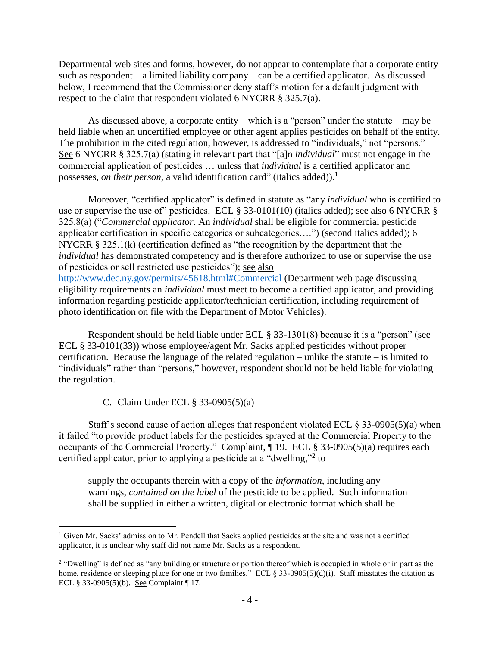Departmental web sites and forms, however, do not appear to contemplate that a corporate entity such as respondent – a limited liability company – can be a certified applicator. As discussed below, I recommend that the Commissioner deny staff's motion for a default judgment with respect to the claim that respondent violated 6 NYCRR § 325.7(a).

As discussed above, a corporate entity – which is a "person" under the statute – may be held liable when an uncertified employee or other agent applies pesticides on behalf of the entity. The prohibition in the cited regulation, however, is addressed to "individuals," not "persons." See 6 NYCRR § 325.7(a) (stating in relevant part that "[a]n *individual*" must not engage in the commercial application of pesticides … unless that *individual* is a certified applicator and possesses, *on their person*, a valid identification card" (italics added)). 1

Moreover, "certified applicator" is defined in statute as "any *individual* who is certified to use or supervise the use of" pesticides. ECL § 33-0101(10) (italics added); <u>see also</u> 6 NYCRR § 325.8(a) ("*Commercial applicator*. An *individual* shall be eligible for commercial pesticide applicator certification in specific categories or subcategories….") (second italics added); 6 NYCRR § 325.1(k) (certification defined as "the recognition by the department that the *individual* has demonstrated competency and is therefore authorized to use or supervise the use of pesticides or sell restricted use pesticides"); see also <http://www.dec.ny.gov/permits/45618.html#Commercial> (Department web page discussing eligibility requirements an *individual* must meet to become a certified applicator, and providing information regarding pesticide applicator/technician certification, including requirement of photo identification on file with the Department of Motor Vehicles).

Respondent should be held liable under ECL § 33-1301(8) because it is a "person" (see ECL § 33-0101(33)) whose employee/agent Mr. Sacks applied pesticides without proper certification. Because the language of the related regulation – unlike the statute – is limited to "individuals" rather than "persons," however, respondent should not be held liable for violating the regulation.

# C. Claim Under ECL § 33-0905(5)(a)

 $\overline{a}$ 

Staff's second cause of action alleges that respondent violated ECL  $\S 33$ -0905(5)(a) when it failed "to provide product labels for the pesticides sprayed at the Commercial Property to the occupants of the Commercial Property." Complaint, ¶ 19. ECL § 33-0905(5)(a) requires each certified applicator, prior to applying a pesticide at a "dwelling,"<sup>2</sup> to

supply the occupants therein with a copy of the *information*, including any warnings, *contained on the label* of the pesticide to be applied. Such information shall be supplied in either a written, digital or electronic format which shall be

<sup>1</sup> Given Mr. Sacks' admission to Mr. Pendell that Sacks applied pesticides at the site and was not a certified applicator, it is unclear why staff did not name Mr. Sacks as a respondent.

<sup>&</sup>lt;sup>2</sup> "Dwelling" is defined as "any building or structure or portion thereof which is occupied in whole or in part as the home, residence or sleeping place for one or two families." ECL § 33-0905(5)(d)(i). Staff misstates the citation as ECL § 33-0905(5)(b). See Complaint ¶ 17.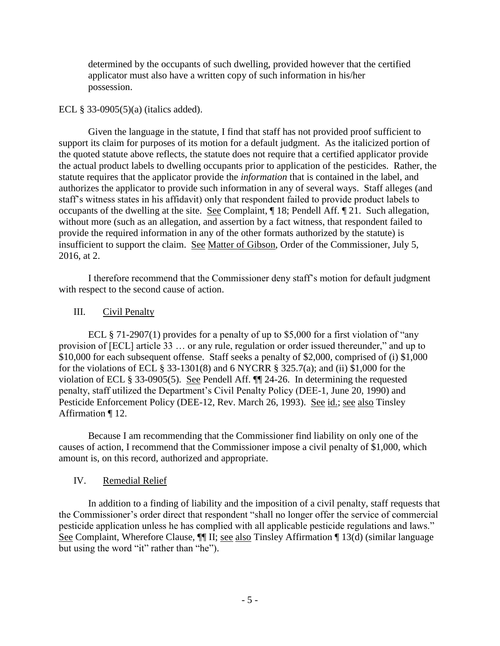determined by the occupants of such dwelling, provided however that the certified applicator must also have a written copy of such information in his/her possession.

## ECL § 33-0905(5)(a) (italics added).

Given the language in the statute, I find that staff has not provided proof sufficient to support its claim for purposes of its motion for a default judgment. As the italicized portion of the quoted statute above reflects, the statute does not require that a certified applicator provide the actual product labels to dwelling occupants prior to application of the pesticides. Rather, the statute requires that the applicator provide the *information* that is contained in the label, and authorizes the applicator to provide such information in any of several ways. Staff alleges (and staff's witness states in his affidavit) only that respondent failed to provide product labels to occupants of the dwelling at the site. See Complaint, ¶ 18; Pendell Aff. ¶ 21. Such allegation, without more (such as an allegation, and assertion by a fact witness, that respondent failed to provide the required information in any of the other formats authorized by the statute) is insufficient to support the claim. See Matter of Gibson, Order of the Commissioner, July 5, 2016, at 2.

I therefore recommend that the Commissioner deny staff's motion for default judgment with respect to the second cause of action.

# III. Civil Penalty

ECL § 71-2907(1) provides for a penalty of up to \$5,000 for a first violation of "any provision of [ECL] article 33 … or any rule, regulation or order issued thereunder," and up to \$10,000 for each subsequent offense. Staff seeks a penalty of \$2,000, comprised of (i) \$1,000 for the violations of ECL  $\S$  33-1301(8) and 6 NYCRR  $\S$  325.7(a); and (ii) \$1,000 for the violation of ECL § 33-0905(5). See Pendell Aff. ¶¶ 24-26. In determining the requested penalty, staff utilized the Department's Civil Penalty Policy (DEE-1, June 20, 1990) and Pesticide Enforcement Policy (DEE-12, Rev. March 26, 1993). See id.; see also Tinsley Affirmation ¶ 12.

Because I am recommending that the Commissioner find liability on only one of the causes of action, I recommend that the Commissioner impose a civil penalty of \$1,000, which amount is, on this record, authorized and appropriate.

## IV. Remedial Relief

In addition to a finding of liability and the imposition of a civil penalty, staff requests that the Commissioner's order direct that respondent "shall no longer offer the service of commercial pesticide application unless he has complied with all applicable pesticide regulations and laws." See Complaint, Wherefore Clause,  $\P\P$  II; see also Tinsley Affirmation  $\P$  13(d) (similar language but using the word "it" rather than "he").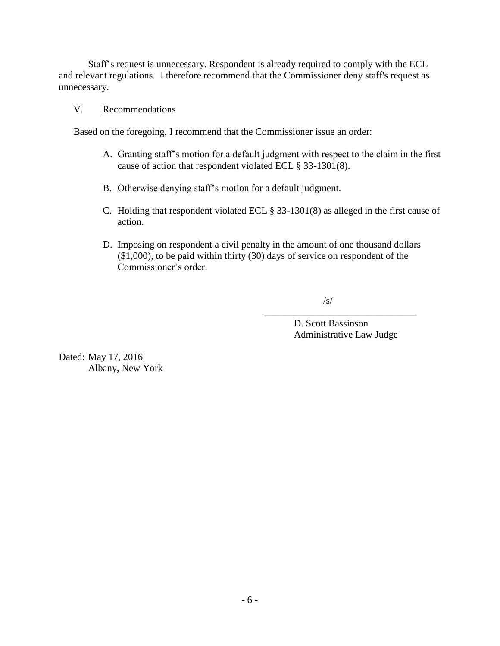Staff's request is unnecessary. Respondent is already required to comply with the ECL and relevant regulations. I therefore recommend that the Commissioner deny staff's request as unnecessary.

# V. Recommendations

Based on the foregoing, I recommend that the Commissioner issue an order:

- A. Granting staff's motion for a default judgment with respect to the claim in the first cause of action that respondent violated ECL § 33-1301(8).
- B. Otherwise denying staff's motion for a default judgment.
- C. Holding that respondent violated ECL § 33-1301(8) as alleged in the first cause of action.
- D. Imposing on respondent a civil penalty in the amount of one thousand dollars (\$1,000), to be paid within thirty (30) days of service on respondent of the Commissioner's order.

/s/

D. Scott Bassinson Administrative Law Judge

\_\_\_\_\_\_\_\_\_\_\_\_\_\_\_\_\_\_\_\_\_\_\_\_\_\_\_\_\_\_\_

Dated: May 17, 2016 Albany, New York